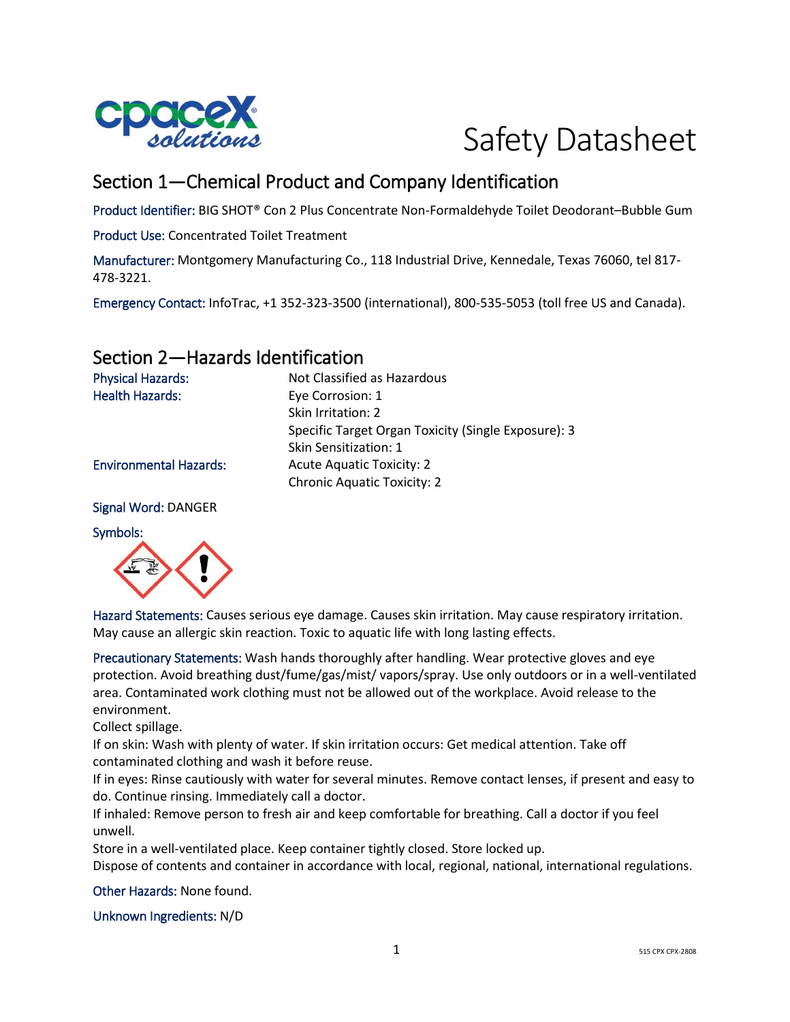

# Safety Datasheet

# Section 1—Chemical Product and Company Identification

Product Identifier: BIG SHOT® Con 2 Plus Concentrate Non-Formaldehyde Toilet Deodorant–Bubble Gum

Product Use: Concentrated Toilet Treatment

Manufacturer: Montgomery Manufacturing Co., 118 Industrial Drive, Kennedale, Texas 76060, tel 817- 478-3221.

Emergency Contact: InfoTrac, +1 352-323-3500 (international), 800-535-5053 (toll free US and Canada).

## Section 2—Hazards Identification

Physical Hazards: Not Classified as Hazardous Health Hazards: Eye Corrosion: 1 Skin Irritation: 2 Specific Target Organ Toxicity (Single Exposure): 3 Skin Sensitization: 1 Environmental Hazards: Acute Aquatic Toxicity: 2 Chronic Aquatic Toxicity: 2

Signal Word: DANGER

Symbols:



Hazard Statements: Causes serious eye damage. Causes skin irritation. May cause respiratory irritation. May cause an allergic skin reaction. Toxic to aquatic life with long lasting effects.

Precautionary Statements: Wash hands thoroughly after handling. Wear protective gloves and eye protection. Avoid breathing dust/fume/gas/mist/ vapors/spray. Use only outdoors or in a well-ventilated area. Contaminated work clothing must not be allowed out of the workplace. Avoid release to the environment.

Collect spillage.

If on skin: Wash with plenty of water. If skin irritation occurs: Get medical attention. Take off contaminated clothing and wash it before reuse.

If in eyes: Rinse cautiously with water for several minutes. Remove contact lenses, if present and easy to do. Continue rinsing. Immediately call a doctor.

If inhaled: Remove person to fresh air and keep comfortable for breathing. Call a doctor if you feel unwell.

Store in a well-ventilated place. Keep container tightly closed. Store locked up.

Dispose of contents and container in accordance with local, regional, national, international regulations.

Other Hazards: None found.

Unknown Ingredients: N/D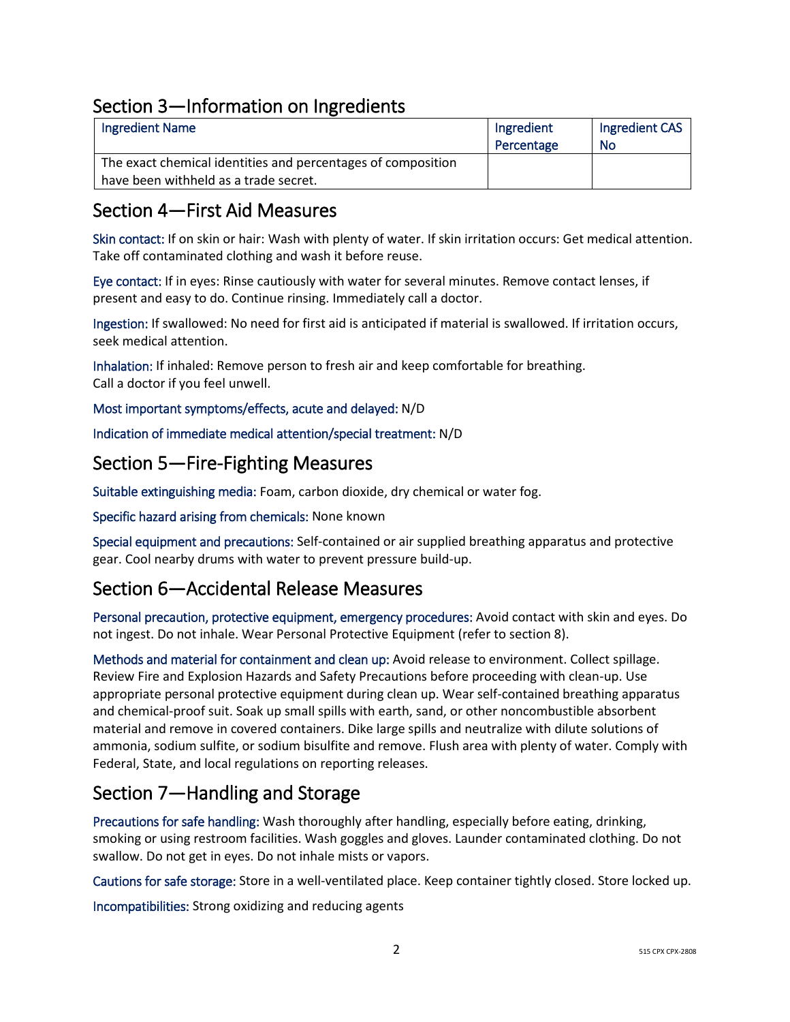# Section 3—Information on Ingredients

| <b>Ingredient Name</b>                                       | Ingredient | Ingredient CAS |
|--------------------------------------------------------------|------------|----------------|
|                                                              | Percentage | No             |
| The exact chemical identities and percentages of composition |            |                |
| have been withheld as a trade secret.                        |            |                |

## Section 4—First Aid Measures

Skin contact: If on skin or hair: Wash with plenty of water. If skin irritation occurs: Get medical attention. Take off contaminated clothing and wash it before reuse.

Eye contact: If in eyes: Rinse cautiously with water for several minutes. Remove contact lenses, if present and easy to do. Continue rinsing. Immediately call a doctor.

Ingestion: If swallowed: No need for first aid is anticipated if material is swallowed. If irritation occurs, seek medical attention.

Inhalation: If inhaled: Remove person to fresh air and keep comfortable for breathing. Call a doctor if you feel unwell.

Most important symptoms/effects, acute and delayed: N/D

Indication of immediate medical attention/special treatment: N/D

## Section 5—Fire-Fighting Measures

Suitable extinguishing media: Foam, carbon dioxide, dry chemical or water fog.

Specific hazard arising from chemicals: None known

Special equipment and precautions: Self-contained or air supplied breathing apparatus and protective gear. Cool nearby drums with water to prevent pressure build-up.

# Section 6—Accidental Release Measures

Personal precaution, protective equipment, emergency procedures: Avoid contact with skin and eyes. Do not ingest. Do not inhale. Wear Personal Protective Equipment (refer to section 8).

Methods and material for containment and clean up: Avoid release to environment. Collect spillage. Review Fire and Explosion Hazards and Safety Precautions before proceeding with clean-up. Use appropriate personal protective equipment during clean up. Wear self-contained breathing apparatus and chemical-proof suit. Soak up small spills with earth, sand, or other noncombustible absorbent material and remove in covered containers. Dike large spills and neutralize with dilute solutions of ammonia, sodium sulfite, or sodium bisulfite and remove. Flush area with plenty of water. Comply with Federal, State, and local regulations on reporting releases.

# Section 7—Handling and Storage

Precautions for safe handling: Wash thoroughly after handling, especially before eating, drinking, smoking or using restroom facilities. Wash goggles and gloves. Launder contaminated clothing. Do not swallow. Do not get in eyes. Do not inhale mists or vapors.

Cautions for safe storage: Store in a well-ventilated place. Keep container tightly closed. Store locked up.

Incompatibilities: Strong oxidizing and reducing agents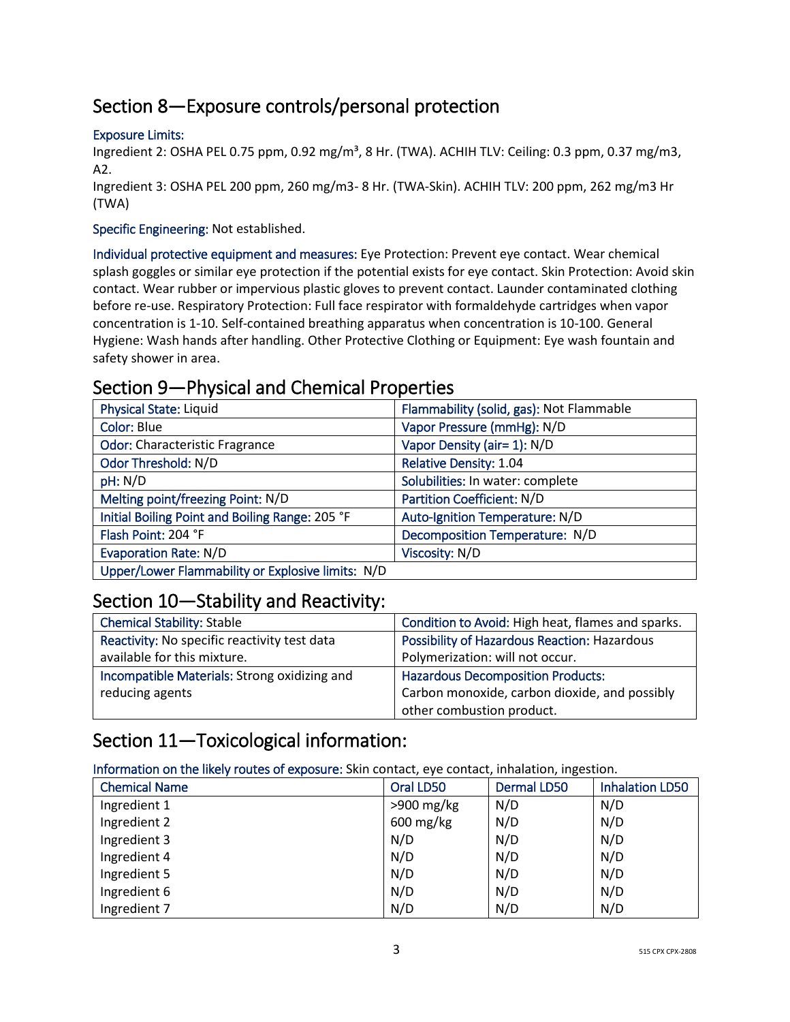# Section 8—Exposure controls/personal protection

#### Exposure Limits:

Ingredient 2: OSHA PEL 0.75 ppm, 0.92 mg/m<sup>3</sup>, 8 Hr. (TWA). ACHIH TLV: Ceiling: 0.3 ppm, 0.37 mg/m3, A2.

Ingredient 3: OSHA PEL 200 ppm, 260 mg/m3- 8 Hr. (TWA-Skin). ACHIH TLV: 200 ppm, 262 mg/m3 Hr (TWA)

#### Specific Engineering: Not established.

Individual protective equipment and measures: Eye Protection: Prevent eye contact. Wear chemical splash goggles or similar eye protection if the potential exists for eye contact. Skin Protection: Avoid skin contact. Wear rubber or impervious plastic gloves to prevent contact. Launder contaminated clothing before re-use. Respiratory Protection: Full face respirator with formaldehyde cartridges when vapor concentration is 1-10. Self-contained breathing apparatus when concentration is 10-100. General Hygiene: Wash hands after handling. Other Protective Clothing or Equipment: Eye wash fountain and safety shower in area.

## Section 9—Physical and Chemical Properties

| <b>Physical State: Liquid</b>                     | Flammability (solid, gas): Not Flammable |
|---------------------------------------------------|------------------------------------------|
| Color: Blue                                       | Vapor Pressure (mmHg): N/D               |
| <b>Odor: Characteristic Fragrance</b>             | Vapor Density (air= 1): N/D              |
| Odor Threshold: N/D                               | <b>Relative Density: 1.04</b>            |
| pH: N/D                                           | Solubilities: In water: complete         |
| Melting point/freezing Point: N/D                 | Partition Coefficient: N/D               |
| Initial Boiling Point and Boiling Range: 205 °F   | Auto-Ignition Temperature: N/D           |
| Flash Point: 204 °F                               | Decomposition Temperature: N/D           |
| <b>Evaporation Rate: N/D</b>                      | Viscosity: N/D                           |
| Upper/Lower Flammability or Explosive limits: N/D |                                          |

## Section 10—Stability and Reactivity:

| <b>Chemical Stability: Stable</b>            | Condition to Avoid: High heat, flames and sparks. |
|----------------------------------------------|---------------------------------------------------|
| Reactivity: No specific reactivity test data | Possibility of Hazardous Reaction: Hazardous      |
| available for this mixture.                  | Polymerization: will not occur.                   |
| Incompatible Materials: Strong oxidizing and | <b>Hazardous Decomposition Products:</b>          |
| reducing agents                              | Carbon monoxide, carbon dioxide, and possibly     |
|                                              | other combustion product.                         |

# Section 11—Toxicological information:

Information on the likely routes of exposure: Skin contact, eye contact, inhalation, ingestion.

| <b>Chemical Name</b> | Oral LD50    | <b>Dermal LD50</b> | <b>Inhalation LD50</b> |
|----------------------|--------------|--------------------|------------------------|
| Ingredient 1         | $>900$ mg/kg | N/D                | N/D                    |
| Ingredient 2         | 600 mg/kg    | N/D                | N/D                    |
| Ingredient 3         | N/D          | N/D                | N/D                    |
| Ingredient 4         | N/D          | N/D                | N/D                    |
| Ingredient 5         | N/D          | N/D                | N/D                    |
| Ingredient 6         | N/D          | N/D                | N/D                    |
| Ingredient 7         | N/D          | N/D                | N/D                    |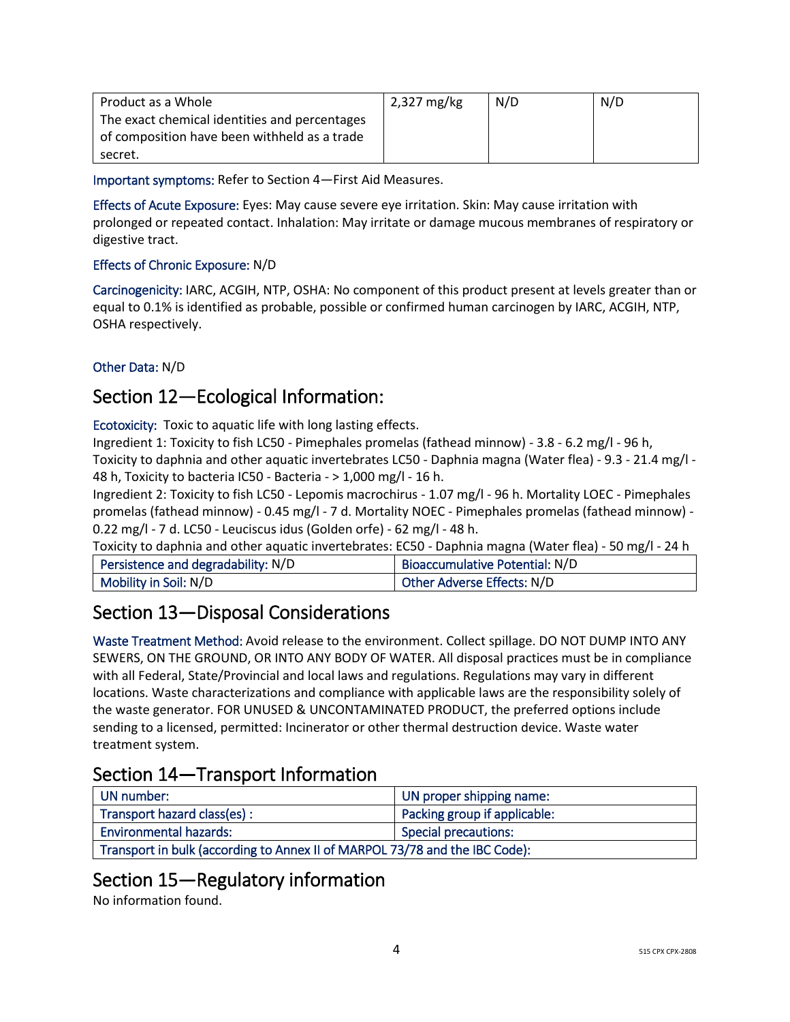| Product as a Whole                            | 2,327 mg/kg | N/D | N/D |
|-----------------------------------------------|-------------|-----|-----|
| The exact chemical identities and percentages |             |     |     |
| of composition have been withheld as a trade  |             |     |     |
| secret.                                       |             |     |     |

Important symptoms: Refer to Section 4—First Aid Measures.

Effects of Acute Exposure: Eyes: May cause severe eye irritation. Skin: May cause irritation with prolonged or repeated contact. Inhalation: May irritate or damage mucous membranes of respiratory or digestive tract.

## Effects of Chronic Exposure: N/D

Carcinogenicity: IARC, ACGIH, NTP, OSHA: No component of this product present at levels greater than or equal to 0.1% is identified as probable, possible or confirmed human carcinogen by IARC, ACGIH, NTP, OSHA respectively.

## Other Data: N/D

# Section 12—Ecological Information:

Ecotoxicity: Toxic to aquatic life with long lasting effects.

Ingredient 1: Toxicity to fish LC50 - Pimephales promelas (fathead minnow) - 3.8 - 6.2 mg/l - 96 h, Toxicity to daphnia and other aquatic invertebrates LC50 - Daphnia magna (Water flea) - 9.3 - 21.4 mg/l - 48 h, Toxicity to bacteria IC50 - Bacteria - > 1,000 mg/l - 16 h.

Ingredient 2: Toxicity to fish LC50 - Lepomis macrochirus - 1.07 mg/l - 96 h. Mortality LOEC - Pimephales promelas (fathead minnow) - 0.45 mg/l - 7 d. Mortality NOEC - Pimephales promelas (fathead minnow) - 0.22 mg/l - 7 d. LC50 - Leuciscus idus (Golden orfe) - 62 mg/l - 48 h.

Toxicity to daphnia and other aquatic invertebrates: EC50 - Daphnia magna (Water flea) - 50 mg/l - 24 h

| Persistence and degradability: N/D | Bioaccumulative Potential: N/D |
|------------------------------------|--------------------------------|
| Mobility in Soil: N/D              | Other Adverse Effects: N/D     |

# Section 13—Disposal Considerations

Waste Treatment Method: Avoid release to the environment. Collect spillage. DO NOT DUMP INTO ANY SEWERS, ON THE GROUND, OR INTO ANY BODY OF WATER. All disposal practices must be in compliance with all Federal, State/Provincial and local laws and regulations. Regulations may vary in different locations. Waste characterizations and compliance with applicable laws are the responsibility solely of the waste generator. FOR UNUSED & UNCONTAMINATED PRODUCT, the preferred options include sending to a licensed, permitted: Incinerator or other thermal destruction device. Waste water treatment system.

# Section 14—Transport Information

| UN number:                                                                  | UN proper shipping name:     |  |
|-----------------------------------------------------------------------------|------------------------------|--|
| Transport hazard class(es):                                                 | Packing group if applicable: |  |
| <b>Environmental hazards:</b>                                               | Special precautions:         |  |
| Transport in bulk (according to Annex II of MARPOL 73/78 and the IBC Code): |                              |  |

# Section 15—Regulatory information

No information found.